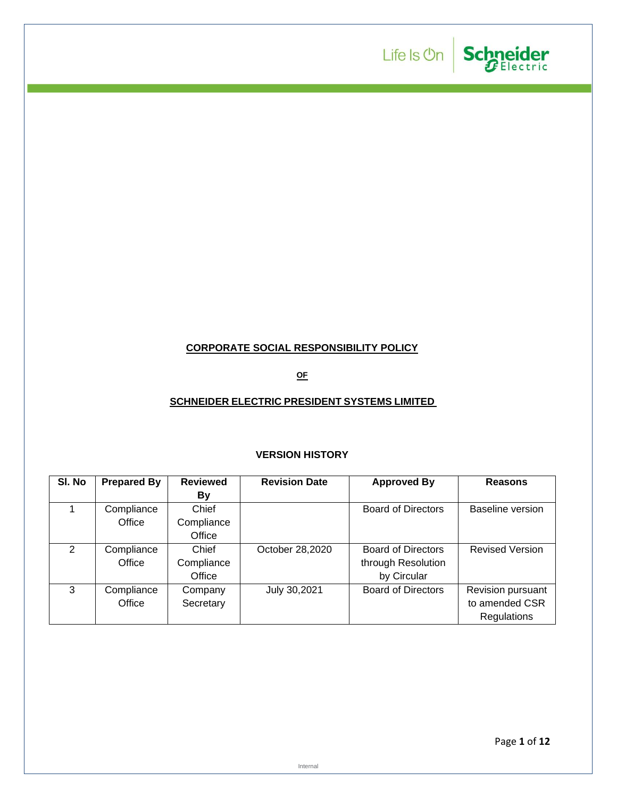

**OF**

# **SCHNEIDER ELECTRIC PRESIDENT SYSTEMS LIMITED**

## **VERSION HISTORY**

| SI. No        | <b>Prepared By</b> | <b>Reviewed</b> | <b>Revision Date</b> | <b>Approved By</b>        | Reasons                 |
|---------------|--------------------|-----------------|----------------------|---------------------------|-------------------------|
|               |                    | <b>By</b>       |                      |                           |                         |
|               | Compliance         | Chief           |                      | <b>Board of Directors</b> | <b>Baseline version</b> |
|               | Office             | Compliance      |                      |                           |                         |
|               |                    | Office          |                      |                           |                         |
| $\mathcal{P}$ | Compliance         | Chief           | October 28,2020      | <b>Board of Directors</b> | <b>Revised Version</b>  |
|               | Office             | Compliance      |                      | through Resolution        |                         |
|               |                    | Office          |                      | by Circular               |                         |
| 3             | Compliance         | Company         | July 30,2021         | <b>Board of Directors</b> | Revision pursuant       |
|               | Office             | Secretary       |                      |                           | to amended CSR          |
|               |                    |                 |                      |                           | Regulations             |

Life Is On Schneider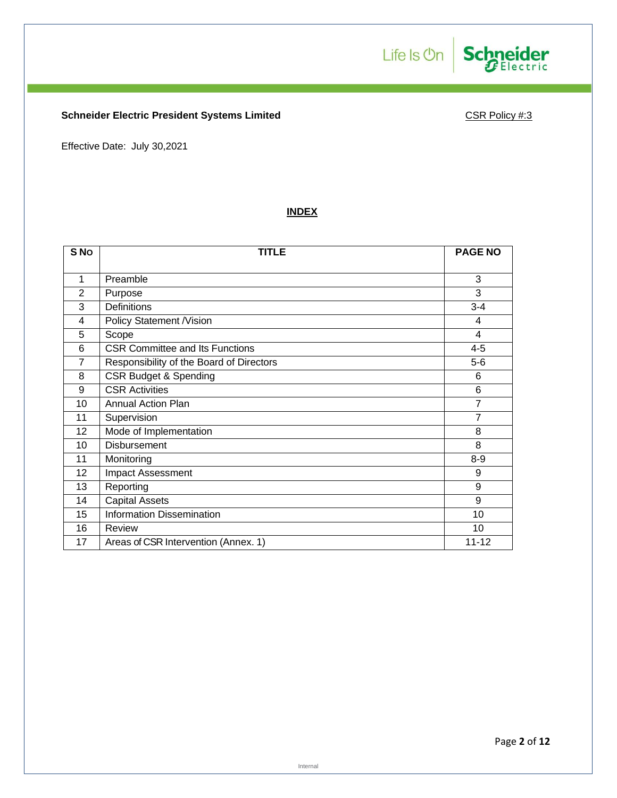# **Schneider Electric President Systems Limited CSR Policy #:3**

Effective Date: July 30,2021

# **INDEX**

| S <sub>No</sub> | <b>TITLE</b>                             | <b>PAGE NO</b> |
|-----------------|------------------------------------------|----------------|
|                 |                                          |                |
| 1               | Preamble                                 | 3              |
| 2               | Purpose                                  | 3              |
| 3               | <b>Definitions</b>                       | $3 - 4$        |
| 4               | Policy Statement /Vision                 | 4              |
| 5               | Scope                                    | 4              |
| 6               | <b>CSR Committee and Its Functions</b>   | $4 - 5$        |
| $\overline{7}$  | Responsibility of the Board of Directors | $5-6$          |
| 8               | <b>CSR Budget &amp; Spending</b>         | 6              |
| 9               | <b>CSR Activities</b>                    | 6              |
| 10              | <b>Annual Action Plan</b>                | $\overline{7}$ |
| 11              | Supervision                              | 7              |
| 12              | Mode of Implementation                   | 8              |
| 10              | <b>Disbursement</b>                      | 8              |
| 11              | Monitoring                               | $8-9$          |
| 12              | Impact Assessment                        | 9              |
| 13              | Reporting                                | 9              |
| 14              | <b>Capital Assets</b>                    | 9              |
| 15              | <b>Information Dissemination</b>         | 10             |
| 16              | Review                                   | 10             |
| 17              | Areas of CSR Intervention (Annex. 1)     | $11 - 12$      |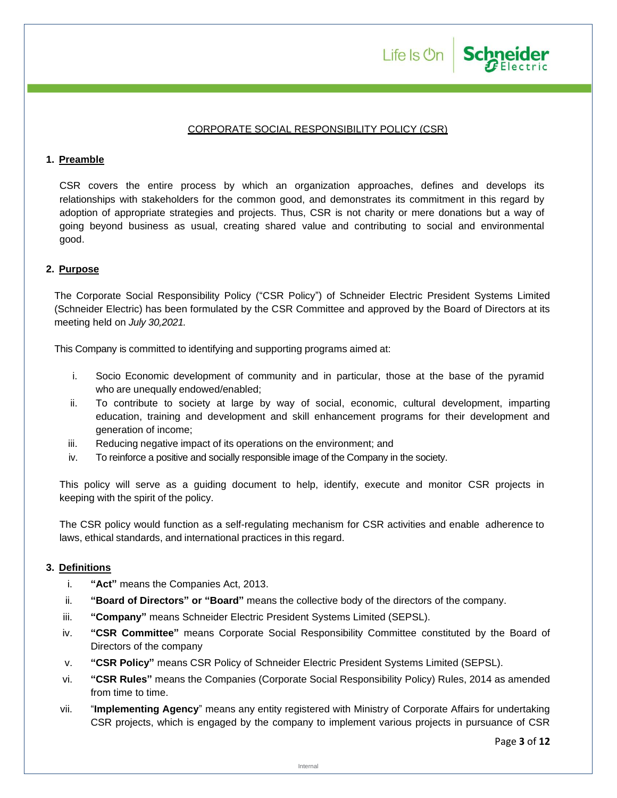

## CORPORATE SOCIAL RESPONSIBILITY POLICY (CSR)

#### **1. Preamble**

CSR covers the entire process by which an organization approaches, defines and develops its relationships with stakeholders for the common good, and demonstrates its commitment in this regard by adoption of appropriate strategies and projects. Thus, CSR is not charity or mere donations but a way of going beyond business as usual, creating shared value and contributing to social and environmental good.

## **2. Purpose**

The Corporate Social Responsibility Policy ("CSR Policy") of Schneider Electric President Systems Limited (Schneider Electric) has been formulated by the CSR Committee and approved by the Board of Directors at its meeting held on *July 30,2021.*

This Company is committed to identifying and supporting programs aimed at:

- i. Socio Economic development of community and in particular, those at the base of the pyramid who are unequally endowed/enabled;
- ii. To contribute to society at large by way of social, economic, cultural development, imparting education, training and development and skill enhancement programs for their development and generation of income;
- iii. Reducing negative impact of its operations on the environment; and
- iv. To reinforce a positive and socially responsible image of the Company in the society.

This policy will serve as a guiding document to help, identify, execute and monitor CSR projects in keeping with the spirit of the policy.

The CSR policy would function as a self-regulating mechanism for CSR activities and enable adherence to laws, ethical standards, and international practices in this regard.

#### **3. Definitions**

- i. **"Act"** means the Companies Act, 2013.
- ii. **"Board of Directors" or "Board"** means the collective body of the directors of the company.
- iii. **"Company"** means Schneider Electric President Systems Limited (SEPSL).
- iv. **"CSR Committee"** means Corporate Social Responsibility Committee constituted by the Board of Directors of the company
- v. **"CSR Policy"** means CSR Policy of Schneider Electric President Systems Limited (SEPSL).
- vi. **"CSR Rules"** means the Companies (Corporate Social Responsibility Policy) Rules, 2014 as amended from time to time.
- vii. "**Implementing Agency**" means any entity registered with Ministry of Corporate Affairs for undertaking CSR projects, which is engaged by the company to implement various projects in pursuance of CSR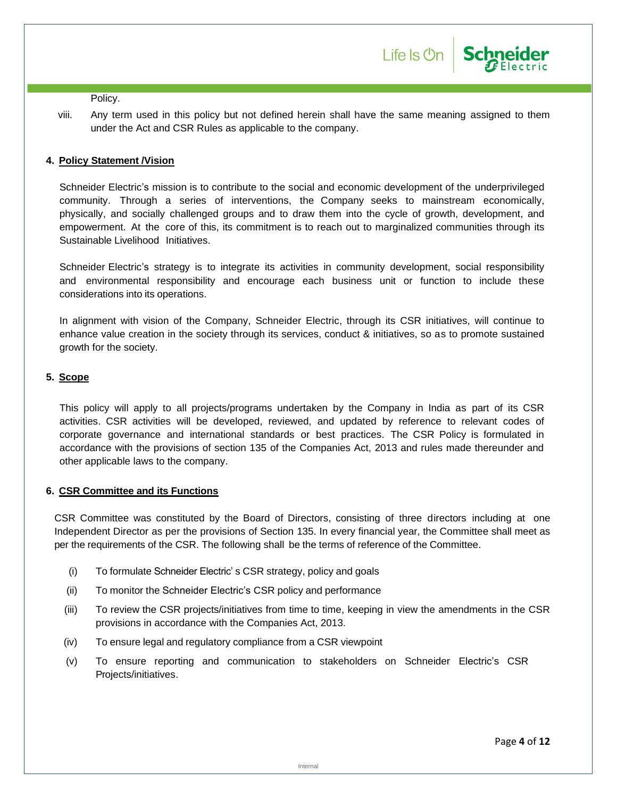viii. Any term used in this policy but not defined herein shall have the same meaning assigned to them under the Act and CSR Rules as applicable to the company.

Life Is **On Schneider** 

## **4. Policy Statement /Vision**

Schneider Electric's mission is to contribute to the social and economic development of the underprivileged community. Through a series of interventions, the Company seeks to mainstream economically, physically, and socially challenged groups and to draw them into the cycle of growth, development, and empowerment. At the core of this, its commitment is to reach out to marginalized communities through its Sustainable Livelihood Initiatives.

Schneider Electric's strategy is to integrate its activities in community development, social responsibility and environmental responsibility and encourage each business unit or function to include these considerations into its operations.

In alignment with vision of the Company, Schneider Electric, through its CSR initiatives, will continue to enhance value creation in the society through its services, conduct & initiatives, so as to promote sustained growth for the society.

## **5. Scope**

This policy will apply to all projects/programs undertaken by the Company in India as part of its CSR activities. CSR activities will be developed, reviewed, and updated by reference to relevant codes of corporate governance and international standards or best practices. The CSR Policy is formulated in accordance with the provisions of section 135 of the Companies Act, 2013 and rules made thereunder and other applicable laws to the company.

#### **6. CSR Committee and its Functions**

CSR Committee was constituted by the Board of Directors, consisting of three directors including at one Independent Director as per the provisions of Section 135. In every financial year, the Committee shall meet as per the requirements of the CSR. The following shall be the terms of reference of the Committee.

- (i) To formulate Schneider Electric' s CSR strategy, policy and goals
- (ii) To monitor the Schneider Electric's CSR policy and performance
- (iii) To review the CSR projects/initiatives from time to time, keeping in view the amendments in the CSR provisions in accordance with the Companies Act, 2013.
- (iv) To ensure legal and regulatory compliance from a CSR viewpoint
- (v) To ensure reporting and communication to stakeholders on Schneider Electric's CSR Projects/initiatives.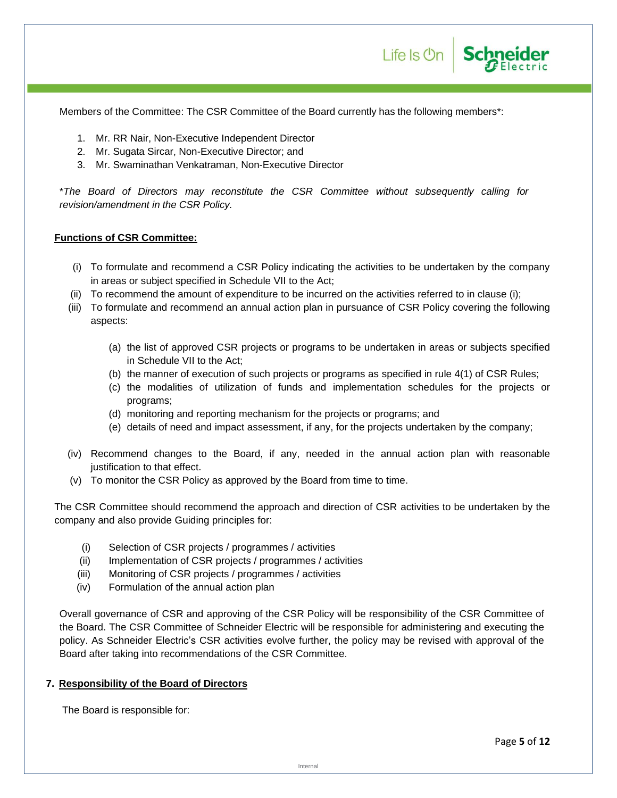Members of the Committee: The CSR Committee of the Board currently has the following members\*:

Life Is On Schneide

- 1. Mr. RR Nair, Non-Executive Independent Director
- 2. Mr. Sugata Sircar, Non-Executive Director; and
- 3. Mr. Swaminathan Venkatraman, Non-Executive Director

\**The Board of Directors may reconstitute the CSR Committee without subsequently calling for revision/amendment in the CSR Policy.*

#### **Functions of CSR Committee:**

- (i) To formulate and recommend a CSR Policy indicating the activities to be undertaken by the company in areas or subject specified in Schedule VII to the Act;
- (ii) To recommend the amount of expenditure to be incurred on the activities referred to in clause (i);
- (iii) To formulate and recommend an annual action plan in pursuance of CSR Policy covering the following aspects:
	- (a) the list of approved CSR projects or programs to be undertaken in areas or subjects specified in Schedule VII to the Act;
	- (b) the manner of execution of such projects or programs as specified in rule 4(1) of CSR Rules;
	- (c) the modalities of utilization of funds and implementation schedules for the projects or programs;
	- (d) monitoring and reporting mechanism for the projects or programs; and
	- (e) details of need and impact assessment, if any, for the projects undertaken by the company;
- (iv) Recommend changes to the Board, if any, needed in the annual action plan with reasonable justification to that effect.
- (v) To monitor the CSR Policy as approved by the Board from time to time.

The CSR Committee should recommend the approach and direction of CSR activities to be undertaken by the company and also provide Guiding principles for:

- (i) Selection of CSR projects / programmes / activities
- (ii) Implementation of CSR projects / programmes / activities
- (iii) Monitoring of CSR projects / programmes / activities
- (iv) Formulation of the annual action plan

Overall governance of CSR and approving of the CSR Policy will be responsibility of the CSR Committee of the Board. The CSR Committee of Schneider Electric will be responsible for administering and executing the policy. As Schneider Electric's CSR activities evolve further, the policy may be revised with approval of the Board after taking into recommendations of the CSR Committee.

#### **7. Responsibility of the Board of Directors**

The Board is responsible for: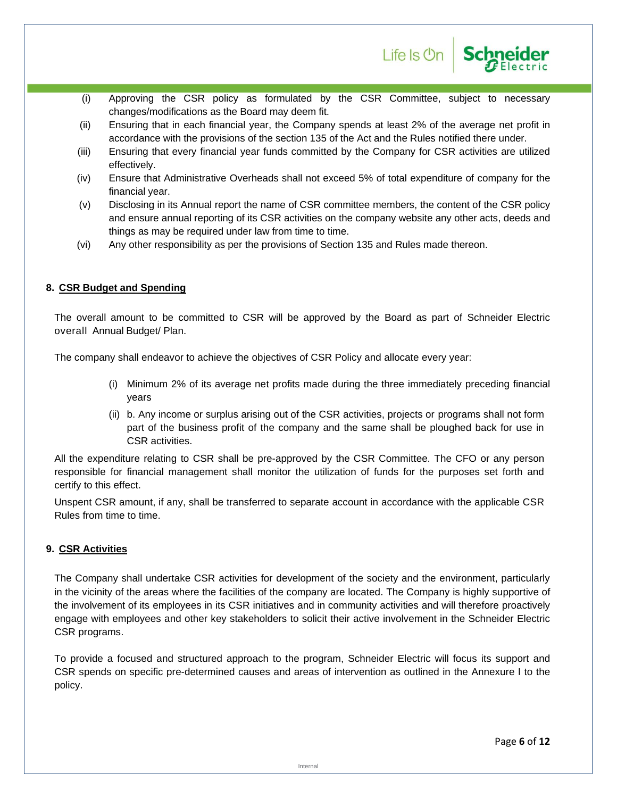

- (i) Approving the CSR policy as formulated by the CSR Committee, subject to necessary changes/modifications as the Board may deem fit.
- (ii) Ensuring that in each financial year, the Company spends at least 2% of the average net profit in accordance with the provisions of the section 135 of the Act and the Rules notified there under.
- (iii) Ensuring that every financial year funds committed by the Company for CSR activities are utilized effectively.
- (iv) Ensure that Administrative Overheads shall not exceed 5% of total expenditure of company for the financial year.
- (v) Disclosing in its Annual report the name of CSR committee members, the content of the CSR policy and ensure annual reporting of its CSR activities on the company website any other acts, deeds and things as may be required under law from time to time.
- (vi) Any other responsibility as per the provisions of Section 135 and Rules made thereon.

## **8. CSR Budget and Spending**

The overall amount to be committed to CSR will be approved by the Board as part of Schneider Electric overall Annual Budget/ Plan.

The company shall endeavor to achieve the objectives of CSR Policy and allocate every year:

- (i) Minimum 2% of its average net profits made during the three immediately preceding financial years
- (ii) b. Any income or surplus arising out of the CSR activities, projects or programs shall not form part of the business profit of the company and the same shall be ploughed back for use in CSR activities.

All the expenditure relating to CSR shall be pre-approved by the CSR Committee. The CFO or any person responsible for financial management shall monitor the utilization of funds for the purposes set forth and certify to this effect.

Unspent CSR amount, if any, shall be transferred to separate account in accordance with the applicable CSR Rules from time to time.

## **9. CSR Activities**

The Company shall undertake CSR activities for development of the society and the environment, particularly in the vicinity of the areas where the facilities of the company are located. The Company is highly supportive of the involvement of its employees in its CSR initiatives and in community activities and will therefore proactively engage with employees and other key stakeholders to solicit their active involvement in the Schneider Electric CSR programs.

To provide a focused and structured approach to the program, Schneider Electric will focus its support and CSR spends on specific pre-determined causes and areas of intervention as outlined in the Annexure I to the policy.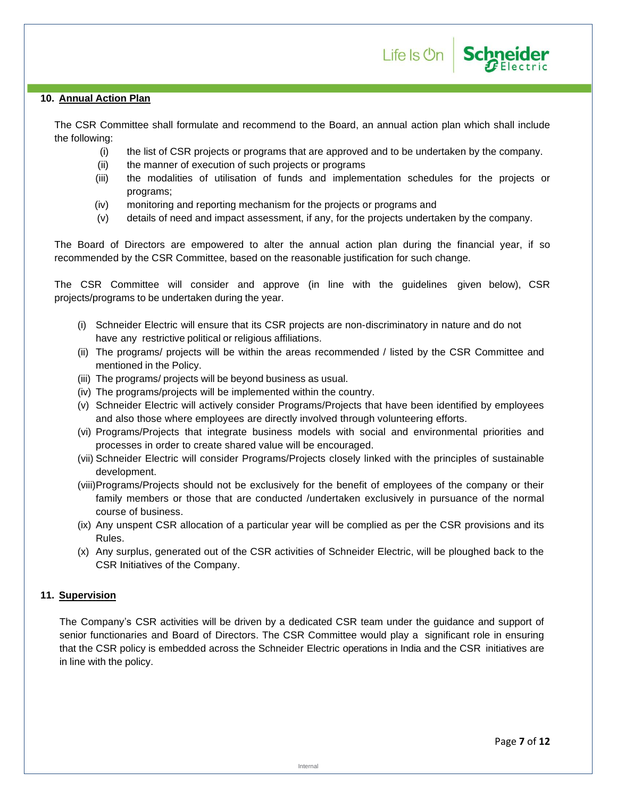

## **10. Annual Action Plan**

The CSR Committee shall formulate and recommend to the Board, an annual action plan which shall include the following:

- (i) the list of CSR projects or programs that are approved and to be undertaken by the company.
- (ii) the manner of execution of such projects or programs
- (iii) the modalities of utilisation of funds and implementation schedules for the projects or programs;
- (iv) monitoring and reporting mechanism for the projects or programs and
- (v) details of need and impact assessment, if any, for the projects undertaken by the company.

The Board of Directors are empowered to alter the annual action plan during the financial year, if so recommended by the CSR Committee, based on the reasonable justification for such change.

The CSR Committee will consider and approve (in line with the guidelines given below), CSR projects/programs to be undertaken during the year.

- (i) Schneider Electric will ensure that its CSR projects are non-discriminatory in nature and do not have any restrictive political or religious affiliations.
- (ii) The programs/ projects will be within the areas recommended / listed by the CSR Committee and mentioned in the Policy.
- (iii) The programs/ projects will be beyond business as usual.
- (iv) The programs/projects will be implemented within the country.
- (v) Schneider Electric will actively consider Programs/Projects that have been identified by employees and also those where employees are directly involved through volunteering efforts.
- (vi) Programs/Projects that integrate business models with social and environmental priorities and processes in order to create shared value will be encouraged.
- (vii) Schneider Electric will consider Programs/Projects closely linked with the principles of sustainable development.
- (viii)Programs/Projects should not be exclusively for the benefit of employees of the company or their family members or those that are conducted /undertaken exclusively in pursuance of the normal course of business.
- (ix) Any unspent CSR allocation of a particular year will be complied as per the CSR provisions and its Rules.
- (x) Any surplus, generated out of the CSR activities of Schneider Electric, will be ploughed back to the CSR Initiatives of the Company.

### **11. Supervision**

The Company's CSR activities will be driven by a dedicated CSR team under the guidance and support of senior functionaries and Board of Directors. The CSR Committee would play a significant role in ensuring that the CSR policy is embedded across the Schneider Electric operations in India and the CSR initiatives are in line with the policy.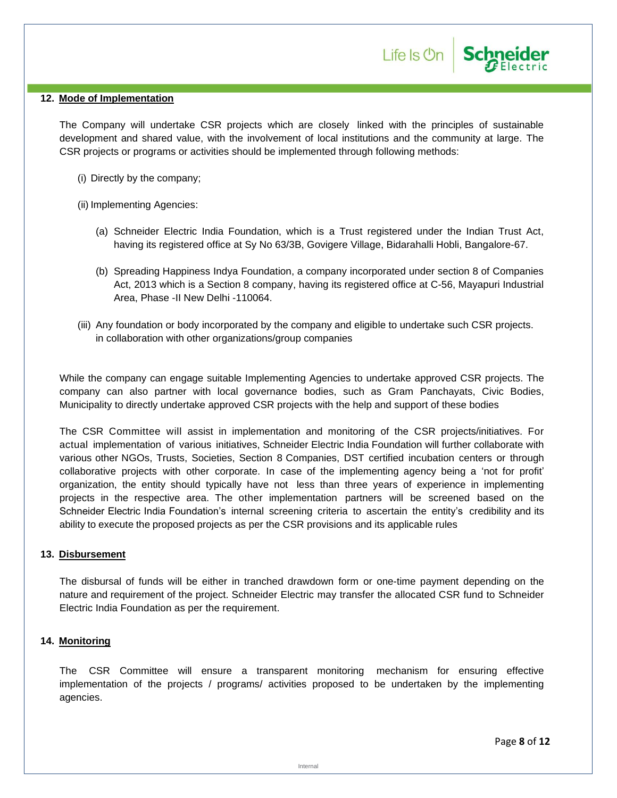#### **12. Mode of Implementation**

The Company will undertake CSR projects which are closely linked with the principles of sustainable development and shared value, with the involvement of local institutions and the community at large. The CSR projects or programs or activities should be implemented through following methods:

Life Is On Schneider

- (i) Directly by the company;
- (ii) Implementing Agencies:
	- (a) Schneider Electric India Foundation, which is a Trust registered under the Indian Trust Act, having its registered office at Sy No 63/3B, Govigere Village, Bidarahalli Hobli, Bangalore-67.
	- (b) Spreading Happiness Indya Foundation, a company incorporated under section 8 of Companies Act, 2013 which is a Section 8 company, having its registered office at C-56, Mayapuri Industrial Area, Phase -II New Delhi -110064.
- (iii) Any foundation or body incorporated by the company and eligible to undertake such CSR projects. in collaboration with other organizations/group companies

While the company can engage suitable Implementing Agencies to undertake approved CSR projects. The company can also partner with local governance bodies, such as Gram Panchayats, Civic Bodies, Municipality to directly undertake approved CSR projects with the help and support of these bodies

The CSR Committee will assist in implementation and monitoring of the CSR projects/initiatives. For actual implementation of various initiatives, Schneider Electric India Foundation will further collaborate with various other NGOs, Trusts, Societies, Section 8 Companies, DST certified incubation centers or through collaborative projects with other corporate. In case of the implementing agency being a 'not for profit' organization, the entity should typically have not less than three years of experience in implementing projects in the respective area. The other implementation partners will be screened based on the Schneider Electric India Foundation's internal screening criteria to ascertain the entity's credibility and its ability to execute the proposed projects as per the CSR provisions and its applicable rules

#### **13. Disbursement**

The disbursal of funds will be either in tranched drawdown form or one-time payment depending on the nature and requirement of the project. Schneider Electric may transfer the allocated CSR fund to Schneider Electric India Foundation as per the requirement.

#### **14. Monitoring**

The CSR Committee will ensure a transparent monitoring mechanism for ensuring effective implementation of the projects / programs/ activities proposed to be undertaken by the implementing agencies.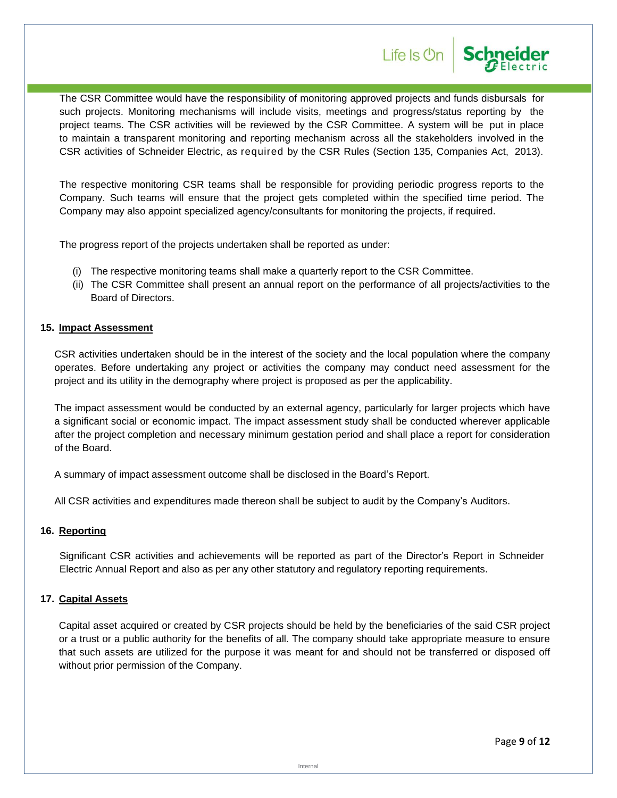The CSR Committee would have the responsibility of monitoring approved projects and funds disbursals for such projects. Monitoring mechanisms will include visits, meetings and progress/status reporting by the project teams. The CSR activities will be reviewed by the CSR Committee. A system will be put in place to maintain a transparent monitoring and reporting mechanism across all the stakeholders involved in the CSR activities of Schneider Electric, as required by the CSR Rules (Section 135, Companies Act, 2013).

Life Is **On Schneide** 

The respective monitoring CSR teams shall be responsible for providing periodic progress reports to the Company. Such teams will ensure that the project gets completed within the specified time period. The Company may also appoint specialized agency/consultants for monitoring the projects, if required.

The progress report of the projects undertaken shall be reported as under:

- (i) The respective monitoring teams shall make a quarterly report to the CSR Committee.
- (ii) The CSR Committee shall present an annual report on the performance of all projects/activities to the Board of Directors.

#### **15. Impact Assessment**

CSR activities undertaken should be in the interest of the society and the local population where the company operates. Before undertaking any project or activities the company may conduct need assessment for the project and its utility in the demography where project is proposed as per the applicability.

The impact assessment would be conducted by an external agency, particularly for larger projects which have a significant social or economic impact. The impact assessment study shall be conducted wherever applicable after the project completion and necessary minimum gestation period and shall place a report for consideration of the Board.

A summary of impact assessment outcome shall be disclosed in the Board's Report.

All CSR activities and expenditures made thereon shall be subject to audit by the Company's Auditors.

### **16. Reporting**

Significant CSR activities and achievements will be reported as part of the Director's Report in Schneider Electric Annual Report and also as per any other statutory and regulatory reporting requirements.

#### **17. Capital Assets**

Capital asset acquired or created by CSR projects should be held by the beneficiaries of the said CSR project or a trust or a public authority for the benefits of all. The company should take appropriate measure to ensure that such assets are utilized for the purpose it was meant for and should not be transferred or disposed off without prior permission of the Company.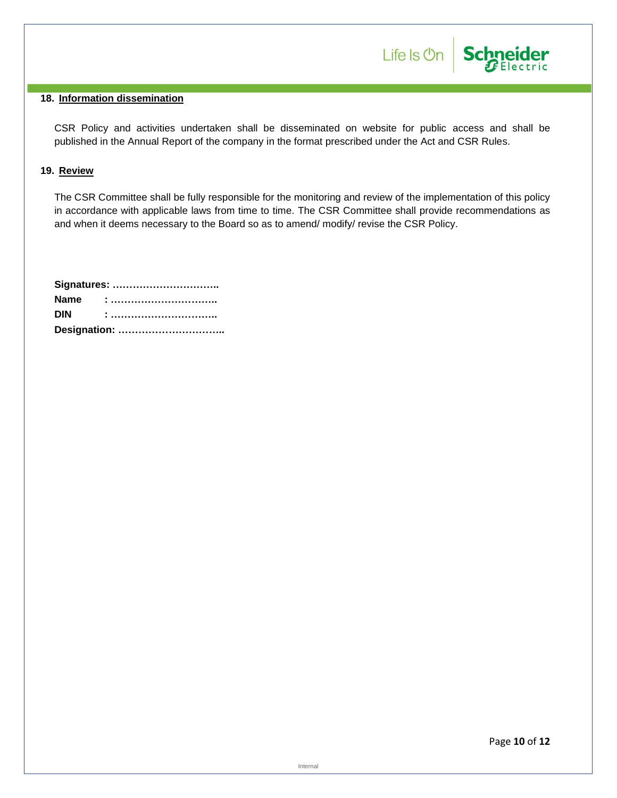

#### **18. Information dissemination**

CSR Policy and activities undertaken shall be disseminated on website for public access and shall be published in the Annual Report of the company in the format prescribed under the Act and CSR Rules.

#### **19. Review**

The CSR Committee shall be fully responsible for the monitoring and review of the implementation of this policy in accordance with applicable laws from time to time. The CSR Committee shall provide recommendations as and when it deems necessary to the Board so as to amend/ modify/ revise the CSR Policy.

|            | Signatures:  |
|------------|--------------|
|            |              |
| <b>DIN</b> |              |
|            | Designation: |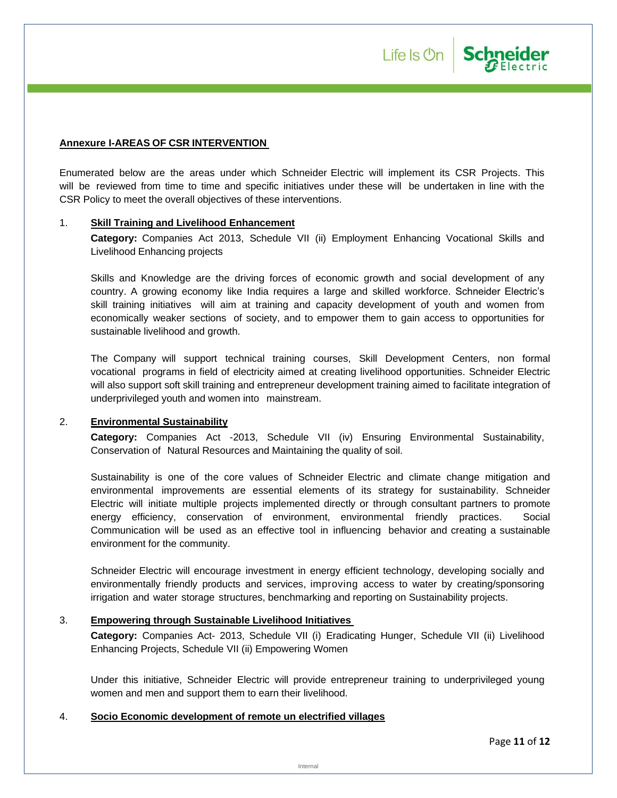

#### **Annexure I-AREAS OF CSR INTERVENTION**

Enumerated below are the areas under which Schneider Electric will implement its CSR Projects. This will be reviewed from time to time and specific initiatives under these will be undertaken in line with the CSR Policy to meet the overall objectives of these interventions.

#### 1. **Skill Training and Livelihood Enhancement**

**Category:** Companies Act 2013, Schedule VII (ii) Employment Enhancing Vocational Skills and Livelihood Enhancing projects

Skills and Knowledge are the driving forces of economic growth and social development of any country. A growing economy like India requires a large and skilled workforce. Schneider Electric's skill training initiatives will aim at training and capacity development of youth and women from economically weaker sections of society, and to empower them to gain access to opportunities for sustainable livelihood and growth.

The Company will support technical training courses, Skill Development Centers, non formal vocational programs in field of electricity aimed at creating livelihood opportunities. Schneider Electric will also support soft skill training and entrepreneur development training aimed to facilitate integration of underprivileged youth and women into mainstream.

### 2. **Environmental Sustainability**

**Category:** Companies Act -2013, Schedule VII (iv) Ensuring Environmental Sustainability, Conservation of Natural Resources and Maintaining the quality of soil.

Sustainability is one of the core values of Schneider Electric and climate change mitigation and environmental improvements are essential elements of its strategy for sustainability. Schneider Electric will initiate multiple projects implemented directly or through consultant partners to promote energy efficiency, conservation of environment, environmental friendly practices. Social Communication will be used as an effective tool in influencing behavior and creating a sustainable environment for the community.

Schneider Electric will encourage investment in energy efficient technology, developing socially and environmentally friendly products and services, improving access to water by creating/sponsoring irrigation and water storage structures, benchmarking and reporting on Sustainability projects.

### 3. **Empowering through Sustainable Livelihood Initiatives**

**Category:** Companies Act- 2013, Schedule VII (i) Eradicating Hunger, Schedule VII (ii) Livelihood Enhancing Projects, Schedule VII (ii) Empowering Women

Under this initiative, Schneider Electric will provide entrepreneur training to underprivileged young women and men and support them to earn their livelihood.

#### 4. **Socio Economic development of remote un electrified villages**